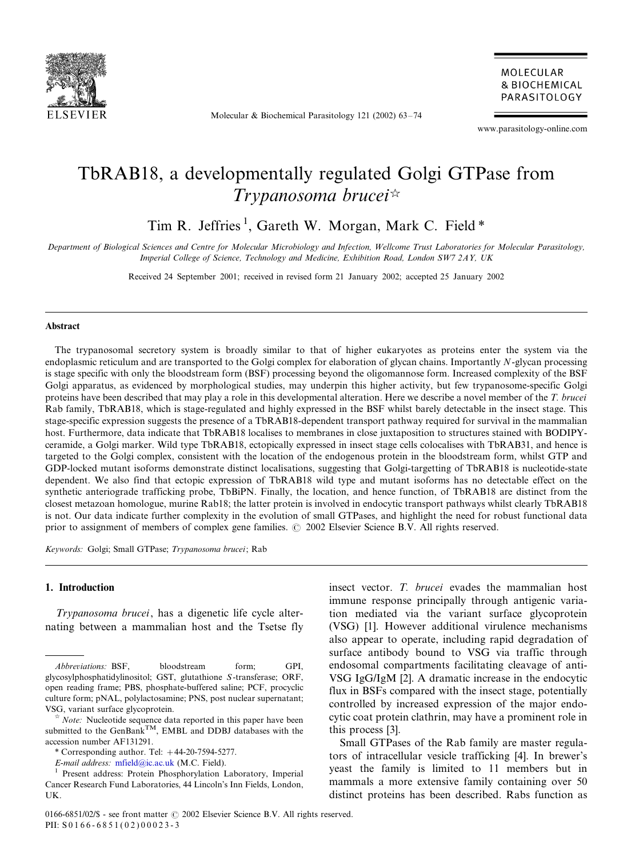

Molecular & Biochemical Parasitology 121 (2002) 63-/74

MOLECULAR **& BIOCHEMICAL** PARASITOLOGY

www.parasitology-online.com

# TbRAB18, a developmentally regulated Golgi GTPase from Trypanosoma brucei $\mathbb{R}$

Tim R. Jeffries<sup>1</sup>, Gareth W. Morgan, Mark C. Field \*

Department of Biological Sciences and Centre for Molecular Microbiology and Infection, Wellcome Trust Laboratories for Molecular Parasitology, Imperial College of Science, Technology and Medicine, Exhibition Road, London SW7 2AY, UK

Received 24 September 2001; received in revised form 21 January 2002; accepted 25 January 2002

#### Abstract

The trypanosomal secretory system is broadly similar to that of higher eukaryotes as proteins enter the system via the endoplasmic reticulum and are transported to the Golgi complex for elaboration of glycan chains. Importantly N-glycan processing is stage specific with only the bloodstream form (BSF) processing beyond the oligomannose form. Increased complexity of the BSF Golgi apparatus, as evidenced by morphological studies, may underpin this higher activity, but few trypanosome-specific Golgi proteins have been described that may play a role in this developmental alteration. Here we describe a novel member of the T. brucei Rab family, TbRAB18, which is stage-regulated and highly expressed in the BSF whilst barely detectable in the insect stage. This stage-specific expression suggests the presence of a TbRAB18-dependent transport pathway required for survival in the mammalian host. Furthermore, data indicate that TbRAB18 localises to membranes in close juxtaposition to structures stained with BODIPYceramide, a Golgi marker. Wild type TbRAB18, ectopically expressed in insect stage cells colocalises with TbRAB31, and hence is targeted to the Golgi complex, consistent with the location of the endogenous protein in the bloodstream form, whilst GTP and GDP-locked mutant isoforms demonstrate distinct localisations, suggesting that Golgi-targetting of TbRAB18 is nucleotide-state dependent. We also find that ectopic expression of TbRAB18 wild type and mutant isoforms has no detectable effect on the synthetic anteriograde trafficking probe, TbBiPN. Finally, the location, and hence function, of TbRAB18 are distinct from the closest metazoan homologue, murine Rab18; the latter protein is involved in endocytic transport pathways whilst clearly TbRAB18 is not. Our data indicate further complexity in the evolution of small GTPases, and highlight the need for robust functional data prior to assignment of members of complex gene families.  $\odot$  2002 Elsevier Science B.V. All rights reserved.

Keywords: Golgi; Small GTPase; Trypanosoma brucei; Rab

## 1. Introduction

Trypanosoma brucei, has a digenetic life cycle alternating between a mammalian host and the Tsetse fly

insect vector. T. brucei evades the mammalian host immune response principally through antigenic variation mediated via the variant surface glycoprotein (VSG) [1]. However additional virulence mechanisms also appear to operate, including rapid degradation of surface antibody bound to VSG via traffic through endosomal compartments facilitating cleavage of anti-VSG IgG/IgM [2]. A dramatic increase in the endocytic flux in BSFs compared with the insect stage, potentially controlled by increased expression of the major endocytic coat protein clathrin, may have a prominent role in this process [3].

Small GTPases of the Rab family are master regulators of intracellular vesicle trafficking [4]. In brewer's yeast the family is limited to 11 members but in mammals a more extensive family containing over 50 distinct proteins has been described. Rabs function as

Abbreviations: BSF, bloodstream form; GPI, glycosylphosphatidylinositol; GST, glutathione S-transferase; ORF, open reading frame; PBS, phosphate-buffered saline; PCF, procyclic culture form; pNAL, polylactosamine; PNS, post nuclear supernatant; VSG, <sup>v</sup>ariant surface glycoprotein.

 $*$  *Note:* Nucleotide sequence data reported in this paper have been submitted to the GenBank<sup>TM</sup>, EMBL and DDBJ databases with the accession number AF131291.

<sup>\*</sup> Corresponding author. Tel: 44-20-7594-5277.

E-mail address: [mfield@ic.ac.uk](mailto:mfield@ic.ac.uk) (M.C. Field). <sup>1</sup> Present address: Protein Phosphorylation Laboratory, Imperial Cancer Research Fund Laboratories, 44 Lincoln's Inn Fields, London,  $I K$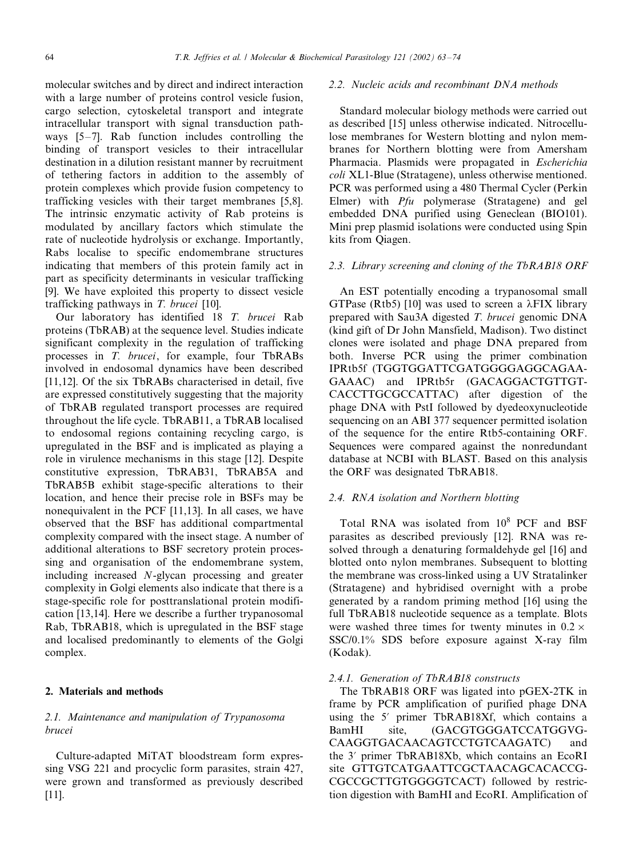molecular switches and by direct and indirect interaction with a large number of proteins control vesicle fusion, cargo selection, cytoskeletal transport and integrate intracellular transport with signal transduction pathways [5–7]. Rab function includes controlling the binding of transport vesicles to their intracellular destination in a dilution resistant manner by recruitment of tethering factors in addition to the assembly of protein complexes which provide fusion competency to trafficking vesicles with their target membranes [5,8]. The intrinsic enzymatic activity of Rab proteins is modulated by ancillary factors which stimulate the rate of nucleotide hydrolysis or exchange. Importantly, Rabs localise to specific endomembrane structures indicating that members of this protein family act in part as specificity determinants in vesicular trafficking [9]. We have exploited this property to dissect vesicle trafficking pathways in T. brucei [10].

Our laboratory has identified 18 T. brucei Rab proteins (TbRAB) at the sequence level. Studies indicate significant complexity in the regulation of trafficking processes in T. brucei, for example, four TbRABs involved in endosomal dynamics have been described [11,12]. Of the six TbRABs characterised in detail, five are expressed constitutively suggesting that the majority of TbRAB regulated transport processes are required throughout the life cycle. TbRAB11, a TbRAB localised to endosomal regions containing recycling cargo, is upregulated in the BSF and is implicated as playing a role in virulence mechanisms in this stage [12]. Despite constitutive expression, TbRAB31, TbRAB5A and TbRAB5B exhibit stage-specific alterations to their location, and hence their precise role in BSFs may be nonequivalent in the PCF [11,13]. In all cases, we have observed that the BSF has additional compartmental complexity compared with the insect stage. A number of additional alterations to BSF secretory protein processing and organisation of the endomembrane system, including increased N-glycan processing and greater complexity in Golgi elements also indicate that there is a stage-specific role for posttranslational protein modification [13,14]. Here we describe a further trypanosomal Rab, TbRAB18, which is upregulated in the BSF stage and localised predominantly to elements of the Golgi complex.

# 2. Materials and methods

# 2.1. Maintenance and manipulation of Trypanosoma brucei

Culture-adapted MiTAT bloodstream form expressing VSG 221 and procyclic form parasites, strain 427, were grown and transformed as previously described [11].

## 2.2. Nucleic acids and recombinant DNA methods

Standard molecular biology methods were carried out as described [15] unless otherwise indicated. Nitrocellulose membranes for Western blotting and nylon membranes for Northern blotting were from Amersham Pharmacia. Plasmids were propagated in Escherichia coli XL1-Blue (Stratagene), unless otherwise mentioned. PCR was performed using a 480 Thermal Cycler (Perkin Elmer) with Pfu polymerase (Stratagene) and gel embedded DNA purified using Geneclean (BIO101). Mini prep plasmid isolations were conducted using Spin kits from Qiagen.

# 2.3. Library screening and cloning of the TbRAB18 ORF

An EST potentially encoding a trypanosomal small GTPase (Rtb5) [10] was used to screen a  $\lambda$ FIX library prepared with Sau3A digested T. brucei genomic DNA (kind gift of Dr John Mansfield, Madison). Two distinct clones were isolated and phage DNA prepared from both. Inverse PCR using the primer combination IPRtb5f (TGGTGGATTCGATGGGGAGGCAGAA-GAAAC) and IPRtb5r (GACAGGACTGTTGT-CACCTTGCGCCATTAC) after digestion of the phage DNA with PstI followed by dyedeoxynucleotide sequencing on an ABI 377 sequencer permitted isolation of the sequence for the entire Rtb5-containing ORF. Sequences were compared against the nonredundant database at NCBI with BLAST. Based on this analysis the ORF was designated TbRAB18.

# 2.4. RNA isolation and Northern blotting

Total RNA was isolated from  $10^8$  PCF and BSF parasites as described previously [12]. RNA was resolved through a denaturing formaldehyde gel [16] and blotted onto nylon membranes. Subsequent to blotting the membrane was cross-linked using a UV Stratalinker (Stratagene) and hybridised overnight with a probe generated by a random priming method [16] using the full TbRAB18 nucleotide sequence as a template. Blots were washed three times for twenty minutes in  $0.2 \times$ SSC/0.1% SDS before exposure against X-ray film (Kodak).

# 2.4.1. Generation of TbRAB18 constructs

The TbRAB18 ORF was ligated into pGEX-2TK in frame by PCR amplification of purified phage DNA using the 5' primer TbRAB18Xf, which contains a BamHI site, (GACGTGGGATCCATGGVG-CAAGGTGACAACAGTCCTGTCAAGATC) and the 3? primer TbRAB18Xb, which contains an EcoRI site GTTGTCATGAATTCGCTAACAGCACACCG-CGCCGCTTGTGGGGTCACT) followed by restriction digestion with BamHI and EcoRI. Amplification of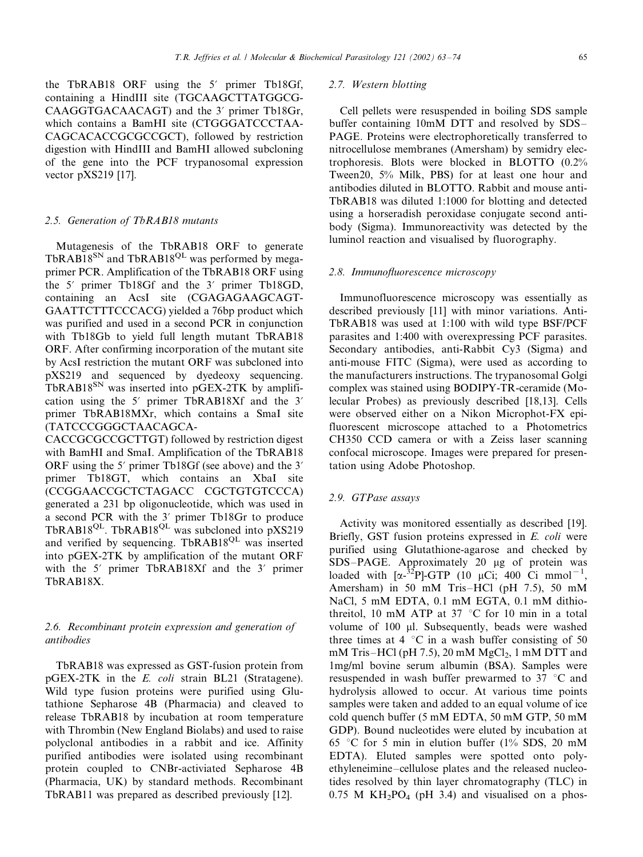the TbRAB18 ORF using the 5? primer Tb18Gf, containing a HindIII site (TGCAAGCTTATGGCG-CAAGGTGACAACAGT) and the 3' primer Tb18Gr, which contains a BamHI site (CTGGGATCCCTAA-CAGCACACCGCGCCGCT), followed by restriction digestion with HindIII and BamHI allowed subcloning of the gene into the PCF trypanosomal expression vector pXS219 [17].

#### 2.5. Generation of TbRAB18 mutants

Mutagenesis of the TbRAB18 ORF to generate TbRAB18<sup>SN</sup> and TbRAB18<sup>QL</sup> was performed by megaprimer PCR. Amplification of the TbRAB18 ORF using the 5? primer Tb18Gf and the 3? primer Tb18GD, containing an AcsI site (CGAGAGAAGCAGT-GAATTCTTTCCCACG) yielded a 76bp product which was purified and used in a second PCR in conjunction with Tb18Gb to yield full length mutant TbRAB18 ORF. After confirming incorporation of the mutant site by AcsI restriction the mutant ORF was subcloned into pXS219 and sequenced by dyedeoxy sequencing.  $TbRAB18^{SN}$  was inserted into  $pGEX-2TK$  by amplification using the 5' primer TbRAB18Xf and the 3' primer TbRAB18MXr, which contains a SmaI site (TATCCCGGGCTAACAGCA-

CACCGCGCCGCTTGT) followed by restriction digest with BamHI and SmaI. Amplification of the TbRAB18 ORF using the 5' primer Tb18Gf (see above) and the 3' primer Tb18GT, which contains an XbaI site (CCGGAACCGCTCTAGACC CGCTGTGTCCCA) generated a 231 bp oligonucleotide, which was used in a second PCR with the 3? primer Tb18Gr to produce TbRAB18<sup>QL</sup>. TbRAB18<sup>QL</sup> was subcloned into pXS219 and verified by sequencing. TbRAB18<sup>QL</sup> was inserted into pGEX-2TK by amplification of the mutant ORF with the 5' primer TbRAB18Xf and the 3' primer TbRAB18X.

## 2.6. Recombinant protein expression and generation of antibodies

TbRAB18 was expressed as GST-fusion protein from pGEX-2TK in the E. coli strain BL21 (Stratagene). Wild type fusion proteins were purified using Glutathione Sepharose 4B (Pharmacia) and cleaved to release TbRAB18 by incubation at room temperature with Thrombin (New England Biolabs) and used to raise polyclonal antibodies in a rabbit and ice. Affinity purified antibodies were isolated using recombinant protein coupled to CNBr-activiated Sepharose 4B (Pharmacia, UK) by standard methods. Recombinant TbRAB11 was prepared as described previously [12].

#### 2.7. Western blotting

Cell pellets were resuspended in boiling SDS sample buffer containing 10mM DTT and resolved by SDS-PAGE. Proteins were electrophoretically transferred to nitrocellulose membranes (Amersham) by semidry electrophoresis. Blots were blocked in BLOTTO (0.2% Tween20, 5% Milk, PBS) for at least one hour and antibodies diluted in BLOTTO. Rabbit and mouse anti-TbRAB18 was diluted 1:1000 for blotting and detected using a horseradish peroxidase conjugate second antibody (Sigma). Immunoreactivity was detected by the luminol reaction and visualised by fluorography.

### 2.8. Immunofluorescence microscopy

Immunofluorescence microscopy was essentially as described previously [11] with minor variations. Anti-TbRAB18 was used at 1:100 with wild type BSF/PCF parasites and 1:400 with overexpressing PCF parasites. Secondary antibodies, anti-Rabbit Cy3 (Sigma) and anti-mouse FITC (Sigma), were used as according to the manufacturers instructions. The trypanosomal Golgi complex was stained using BODIPY-TR-ceramide (Molecular Probes) as previously described [18,13]. Cells were observed either on a Nikon Microphot-FX epifluorescent microscope attached to a Photometrics CH350 CCD camera or with a Zeiss laser scanning confocal microscope. Images were prepared for presentation using Adobe Photoshop.

## 2.9. GTPase assays

Activity was monitored essentially as described [19]. Briefly, GST fusion proteins expressed in E. coli were purified using Glutathione-agarose and checked by SDS-PAGE. Approximately 20 µg of protein was loaded with  $[\alpha^{-3/2}P]$ -GTP (10 µCi; 400 Ci mmol<sup>-1</sup>, Amersham) in 50 mM Tris-HCl (pH 7.5), 50 mM NaCl, 5 mM EDTA, 0.1 mM EGTA, 0.1 mM dithiothreitol, 10 mM ATP at 37  $\degree$ C for 10 min in a total volume of  $100$   $\mu$ l. Subsequently, beads were washed three times at 4  $\degree$ C in a wash buffer consisting of 50 mM Tris–HCl (pH 7.5), 20 mM MgCl<sub>2</sub>, 1 mM DTT and 1mg/ml bovine serum albumin (BSA). Samples were resuspended in wash buffer prewarmed to  $37 \text{ °C}$  and hydrolysis allowed to occur. At various time points samples were taken and added to an equal volume of ice cold quench buffer (5 mM EDTA, 50 mM GTP, 50 mM GDP). Bound nucleotides were eluted by incubation at 65 °C for 5 min in elution buffer (1% SDS, 20 mM EDTA). Eluted samples were spotted onto polyethyleneimine-cellulose plates and the released nucleotides resolved by thin layer chromatography (TLC) in  $0.75$  M KH<sub>2</sub>PO<sub>4</sub> (pH 3.4) and visualised on a phos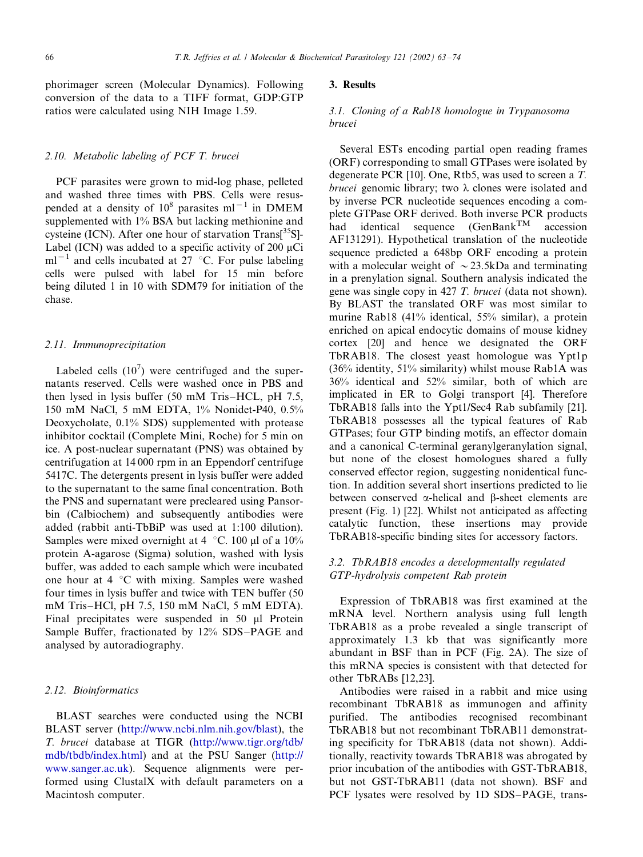phorimager screen (Molecular Dynamics). Following conversion of the data to a TIFF format, GDP:GTP ratios were calculated using NIH Image 1.59.

## 2.10. Metabolic labeling of PCF T. brucei

PCF parasites were grown to mid-log phase, pelleted and washed three times with PBS. Cells were resuspended at a density of  $10^8$  parasites ml<sup>-1</sup> in DMEM supplemented with 1% BSA but lacking methionine and cysteine (ICN). After one hour of starvation Trans<sup>[35</sup>S]-Label (ICN) was added to a specific activity of 200  $\mu$ Ci  $ml^{-1}$  and cells incubated at 27 °C. For pulse labeling cells were pulsed with label for 15 min before being diluted 1 in 10 with SDM79 for initiation of the chase.

## 2.11. Immunoprecipitation

Labeled cells  $(10^7)$  were centrifuged and the supernatants reserved. Cells were washed once in PBS and then lysed in lysis buffer  $(50 \text{ mM Tris-HCL}, \text{pH } 7.5,$ 150 mM NaCl, 5 mM EDTA, 1% Nonidet-P40, 0.5% Deoxycholate, 0.1% SDS) supplemented with protease inhibitor cocktail (Complete Mini, Roche) for 5 min on ice. A post-nuclear supernatant (PNS) was obtained by centrifugation at 14 000 rpm in an Eppendorf centrifuge 5417C. The detergents present in lysis buffer were added to the supernatant to the same final concentration. Both the PNS and supernatant were precleared using Pansorbin (Calbiochem) and subsequently antibodies were added (rabbit anti-TbBiP was used at 1:100 dilution). Samples were mixed overnight at 4  $^{\circ}$ C. 100 µl of a 10% protein A-agarose (Sigma) solution, washed with lysis buffer, was added to each sample which were incubated one hour at  $4 \degree C$  with mixing. Samples were washed four times in lysis buffer and twice with TEN buffer (50 mM Tris-HCl, pH 7.5, 150 mM NaCl, 5 mM EDTA). Final precipitates were suspended in 50 µl Protein Sample Buffer, fractionated by 12% SDS-PAGE and analysed by autoradiography.

#### 2.12. Bioinformatics

BLAST searches were conducted using the NCBI BLAST server [\(http://www.ncbi.nlm.nih.go](http://www.ncbi.nlm.nih.gov/blast)v/blast), the T. brucei database at TIGR ([http://www.tigr.org/tdb/](http://www.tigr.org/tdb/mdb/tbdb/index.html) [mdb/tbdb/index.html](http://www.tigr.org/tdb/mdb/tbdb/index.html)) and at the PSU Sanger ([http://](http://www.sanger.ac.uk) [www.sanger.ac.uk](http://www.sanger.ac.uk)). Sequence alignments were performed using ClustalX with default parameters on a Macintosh computer.

## 3. Results

# 3.1. Cloning of a Rab18 homologue in Trypanosoma brucei

Several ESTs encoding partial open reading frames (ORF) corresponding to small GTPases were isolated by degenerate PCR [10]. One, Rtb5, was used to screen a T. brucei genomic library; two  $\lambda$  clones were isolated and by inverse PCR nucleotide sequences encoding a complete GTPase ORF derived. Both inverse PCR products had identical sequence (GenBank<sup>TM</sup> accession AF131291). Hypothetical translation of the nucleotide sequence predicted a 648bp ORF encoding a protein with a molecular weight of  $\sim$  23.5kDa and terminating in a prenylation signal. Southern analysis indicated the gene was single copy in 427 T. brucei (data not shown). By BLAST the translated ORF was most similar to murine Rab18 (41% identical, 55% similar), a protein enriched on apical endocytic domains of mouse kidney cortex [20] and hence we designated the ORF TbRAB18. The closest yeast homologue was Ypt1p  $(36\%$  identity, 51% similarity) whilst mouse Rab1A was 36% identical and 52% similar, both of which are implicated in ER to Golgi transport [4]. Therefore TbRAB18 falls into the Ypt1/Sec4 Rab subfamily [21]. TbRAB18 possesses all the typical features of Rab GTPases; four GTP binding motifs, an effector domain and a canonical C-terminal geranylgeranylation signal, but none of the closest homologues shared a fully conserved effector region, suggesting nonidentical function. In addition several short insertions predicted to lie between conserved  $\alpha$ -helical and  $\beta$ -sheet elements are present (Fig. 1) [22]. Whilst not anticipated as affecting catalytic function, these insertions may provide TbRAB18-specific binding sites for accessory factors.

## 3.2. TbRAB18 encodes a developmentally regulated GTP-hydrolysis competent Rab protein

Expression of TbRAB18 was first examined at the mRNA level. Northern analysis using full length TbRAB18 as a probe revealed a single transcript of approximately 1.3 kb that was significantly more abundant in BSF than in PCF (Fig. 2A). The size of this mRNA species is consistent with that detected for other TbRABs [12,23].

Antibodies were raised in a rabbit and mice using recombinant TbRAB18 as immunogen and affinity purified. The antibodies recognised recombinant TbRAB18 but not recombinant TbRAB11 demonstrating specificity for TbRAB18 (data not shown). Additionally, reactivity towards TbRAB18 was abrogated by prior incubation of the antibodies with GST-TbRAB18, but not GST-TbRAB11 (data not shown). BSF and PCF lysates were resolved by 1D SDS-PAGE, trans-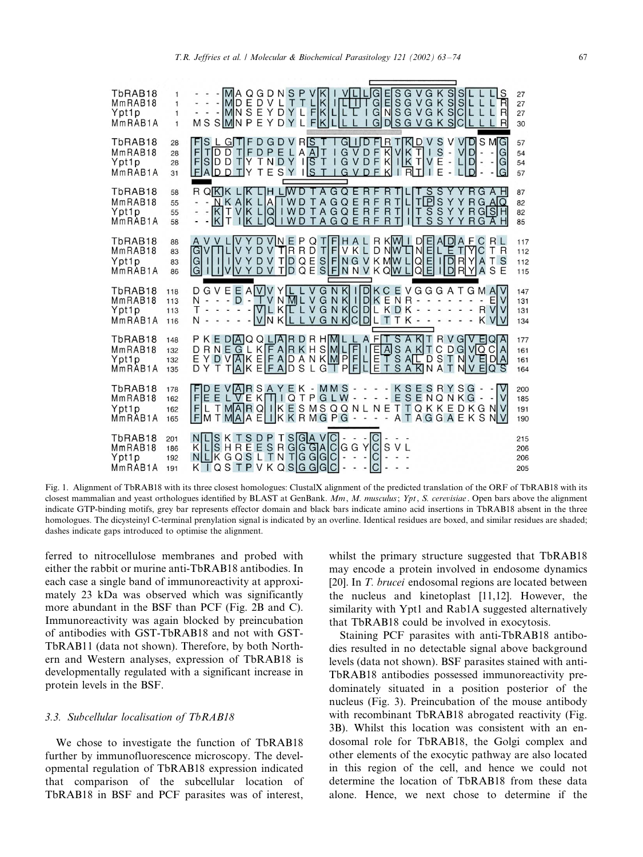

Fig. 1. Alignment of TbRAB18 with its three closest homologues: ClustalX alignment of the predicted translation of the ORF of TbRAB18 with its closest mammalian and yeast orthologues identified by BLAST at GenBank. Mm, M. musculus; Ypt, S. cerevisiae. Open bars above the alignment indicate GTP-binding motifs, grey bar represents effector domain and black bars indicate amino acid insertions in TbRAB18 absent in the three homologues. The dicysteinyl C-terminal prenylation signal is indicated by an overline. Identical residues are boxed, and similar residues are shaded; dashes indicate gaps introduced to optimise the alignment.

ferred to nitrocellulose membranes and probed with either the rabbit or murine anti-TbRAB18 antibodies. In each case a single band of immunoreactivity at approximately 23 kDa was observed which was significantly more abundant in the BSF than PCF (Fig. 2B and C). Immunoreactivity was again blocked by preincubation of antibodies with GST-TbRAB18 and not with GST-TbRAB11 (data not shown). Therefore, by both Northern and Western analyses, expression of TbRAB18 is developmentally regulated with a significant increase in protein levels in the BSF.

# 3.3. Subcellular localisation of TbRAB18

We chose to investigate the function of TbRAB18 further by immunofluorescence microscopy. The developmental regulation of TbRAB18 expression indicated that comparison of the subcellular location of TbRAB18 in BSF and PCF parasites was of interest,

whilst the primary structure suggested that TbRAB18 may encode a protein involved in endosome dynamics [20]. In *T. brucei* endosomal regions are located between the nucleus and kinetoplast [11,12]. However, the similarity with Ypt1 and Rab1A suggested alternatively that TbRAB18 could be involved in exocytosis.

Staining PCF parasites with anti-TbRAB18 antibodies resulted in no detectable signal above background levels (data not shown). BSF parasites stained with anti-TbRAB18 antibodies possessed immunoreactivity predominately situated in a position posterior of the nucleus (Fig. 3). Preincubation of the mouse antibody with recombinant TbRAB18 abrogated reactivity (Fig. 3B). Whilst this location was consistent with an endosomal role for TbRAB18, the Golgi complex and other elements of the exocytic pathway are also located in this region of the cell, and hence we could not determine the location of TbRAB18 from these data alone. Hence, we next chose to determine if the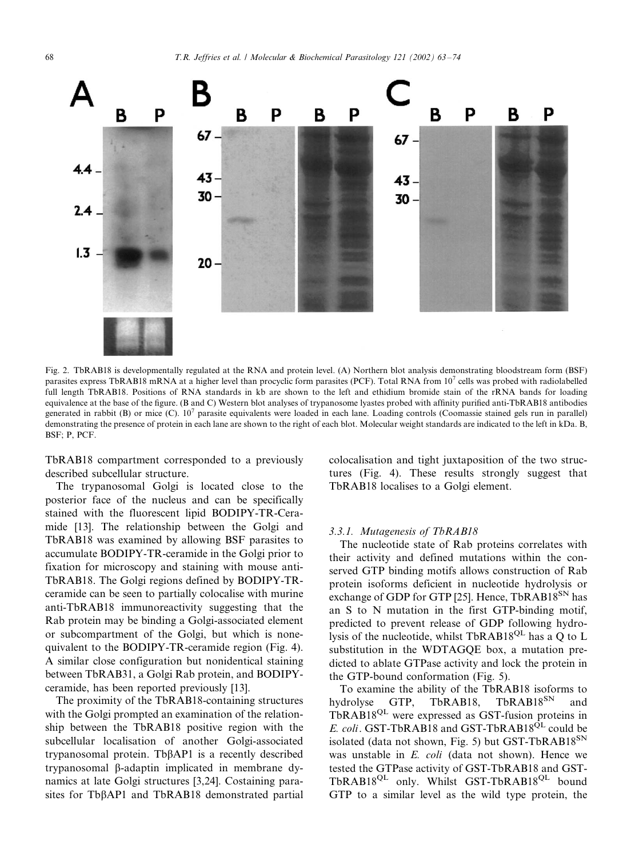

Fig. 2. TbRAB18 is developmentally regulated at the RNA and protein level. (A) Northern blot analysis demonstrating bloodstream form (BSF) parasites express TbRAB18 mRNA at a higher level than procyclic form parasites (PCF). Total RNA from 10<sup>7</sup> cells was probed with radiolabelled full length TbRAB18. Positions of RNA standards in kb are shown to the left and ethidium bromide stain of the rRNA bands for loading equivalence at the base of the figure. (B and C) Western blot analyses of trypanosome lyastes probed with affinity purified anti-TbRAB18 antibodies generated in rabbit (B) or mice (C).  $10^7$  parasite equivalents were loaded in each lane. Loading controls (Coomassie stained gels run in parallel) demonstrating the presence of protein in each lane are shown to the right of each blot. Molecular weight standards are indicated to the left in kDa. B, BSF; P, PCF.

TbRAB18 compartment corresponded to a previously described subcellular structure.

The trypanosomal Golgi is located close to the posterior face of the nucleus and can be specifically stained with the fluorescent lipid BODIPY-TR-Ceramide [13]. The relationship between the Golgi and TbRAB18 was examined by allowing BSF parasites to accumulate BODIPY-TR-ceramide in the Golgi prior to fixation for microscopy and staining with mouse anti-TbRAB18. The Golgi regions defined by BODIPY-TRceramide can be seen to partially colocalise with murine anti-TbRAB18 immunoreactivity suggesting that the Rab protein may be binding a Golgi-associated element or subcompartment of the Golgi, but which is nonequivalent to the BODIPY-TR-ceramide region (Fig. 4). A similar close configuration but nonidentical staining between TbRAB31, a Golgi Rab protein, and BODIPYceramide, has been reported previously [13].

The proximity of the TbRAB18-containing structures with the Golgi prompted an examination of the relationship between the TbRAB18 positive region with the subcellular localisation of another Golgi-associated trypanosomal protein. Tb $\beta$ AP1 is a recently described trypanosomal b-adaptin implicated in membrane dynamics at late Golgi structures [3,24]. Costaining parasites for Tb $\beta$ AP1 and TbRAB18 demonstrated partial

colocalisation and tight juxtaposition of the two structures (Fig. 4). These results strongly suggest that TbRAB18 localises to a Golgi element.

#### 3.3.1. Mutagenesis of TbRAB18

The nucleotide state of Rab proteins correlates with their activity and defined mutations within the conserved GTP binding motifs allows construction of Rab protein isoforms deficient in nucleotide hydrolysis or exchange of GDP for GTP [25]. Hence, TbRAB18<sup>SN</sup> has an S to N mutation in the first GTP-binding motif, predicted to prevent release of GDP following hydrolysis of the nucleotide, whilst TbRAB18QL has a Q to L substitution in the WDTAGQE box, a mutation predicted to ablate GTPase activity and lock the protein in the GTP-bound conformation (Fig. 5).

To examine the ability of the TbRAB18 isoforms to<br>drolvse GTP. TbRAB18. TbRAB18<sup>SN</sup> and hydrolyse GTP, TbRAB18, TbRAB18<sup>SN</sup> and TbRAB18QL were expressed as GST-fusion proteins in E. coli. GST-TbRAB18 and GST-TbRAB18<sup>QL</sup> could be isolated (data not shown, Fig. 5) but GST-TbRAB18 $^{SN}$ was unstable in E. coli (data not shown). Hence we tested the GTPase activity of GST-TbRAB18 and GST-TbRAB18<sup>QL</sup> only. Whilst GST-TbRAB18<sup>QL</sup> bound GTP to a similar level as the wild type protein, the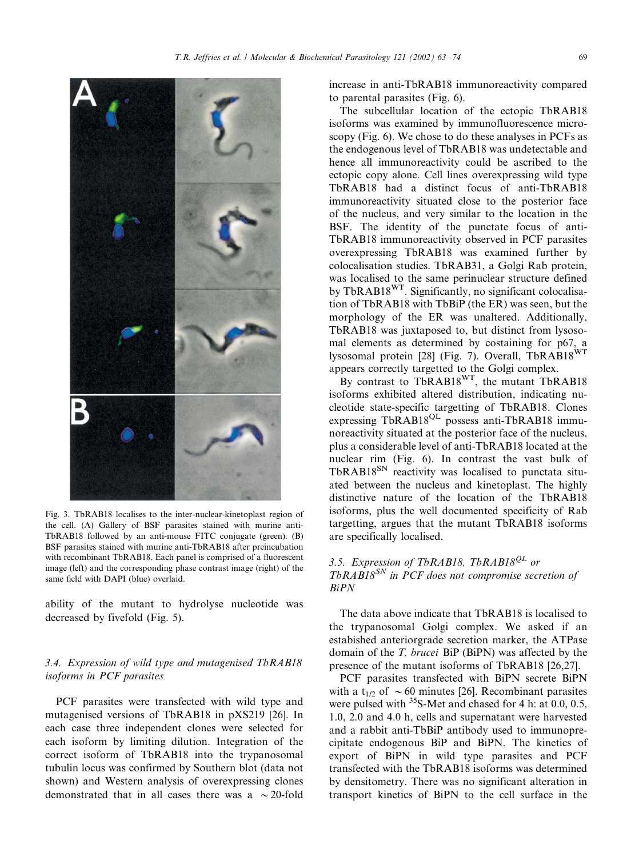

Fig. 3. TbRAB18 localises to the inter-nuclear-kinetoplast region of the cell. (A) Gallery of BSF parasites stained with murine anti-TbRAB18 followed by an anti-mouse FITC conjugate (green). (B) BSF parasites stained with murine anti-TbRAB18 after preincubation with recombinant TbRAB18. Each panel is comprised of a fluorescent image (left) and the corresponding phase contrast image (right) of the same field with DAPI (blue) overlaid.

ability of the mutant to hydrolyse nucleotide was decreased by fivefold (Fig. 5).

# 3.4. Expression of wild type and mutagenised TbRAB18 isoforms in PCF parasites

PCF parasites were transfected with wild type and mutagenised versions of TbRAB18 in pXS219 [26]. In each case three independent clones were selected for each isoform by limiting dilution. Integration of the correct isoform of TbRAB18 into the trypanosomal tubulin locus was confirmed by Southern blot (data not shown) and Western analysis of overexpressing clones demonstrated that in all cases there was a  $\sim$  20-fold

increase in anti-TbRAB18 immunoreactivity compared to parental parasites (Fig. 6).

The subcellular location of the ectopic TbRAB18 isoforms was examined by immunofluorescence microscopy (Fig. 6). We chose to do these analyses in PCFs as the endogenous level of TbRAB18 was undetectable and hence all immunoreactivity could be ascribed to the ectopic copy alone. Cell lines overexpressing wild type TbRAB18 had a distinct focus of anti-TbRAB18 immunoreactivity situated close to the posterior face of the nucleus, and very similar to the location in the BSF. The identity of the punctate focus of anti-TbRAB18 immunoreactivity observed in PCF parasites overexpressing TbRAB18 was examined further by colocalisation studies. TbRAB31, a Golgi Rab protein, was localised to the same perinuclear structure defined by TbRAB18<sup>WT</sup>. Significantly, no significant colocalisation of TbRAB18 with TbBiP (the ER) was seen, but the morphology of the ER was unaltered. Additionally, TbRAB18 was juxtaposed to, but distinct from lysosomal elements as determined by costaining for p67, a lysosomal protein [28] (Fig. 7). Overall, TbRAB18WT appears correctly targetted to the Golgi complex.

By contrast to  $ThRAB18^{WT}$ , the mutant  $ThRAB18$ isoforms exhibited altered distribution, indicating nucleotide state-specific targetting of TbRAB18. Clones expressing TbRAB18<sup>QL</sup> possess anti-TbRAB18 immunoreactivity situated at the posterior face of the nucleus, plus a considerable level of anti-TbRAB18 located at the nuclear rim (Fig. 6). In contrast the vast bulk of TbRAB18<sup>SN</sup> reactivity was localised to punctata situated between the nucleus and kinetoplast. The highly distinctive nature of the location of the TbRAB18 isoforms, plus the well documented specificity of Rab targetting, argues that the mutant TbRAB18 isoforms are specifically localised.

# 3.5. Expression of TbRAB18, TbRAB18<sup>QL</sup> or  $ThRAB18^{SN}$  in PCF does not compromise secretion of BiPN

The data above indicate that TbRAB18 is localised to the trypanosomal Golgi complex. We asked if an estabished anteriorgrade secretion marker, the ATPase domain of the T. brucei BiP (BiPN) was affected by the presence of the mutant isoforms of TbRAB18 [26,27].

PCF parasites transfected with BiPN secrete BiPN with a t<sub>1/2</sub> of  $\sim 60$  minutes [26]. Recombinant parasites were pulsed with  $35S-Met$  and chased for 4 h: at 0.0, 0.5, 1.0, 2.0 and 4.0 h, cells and supernatant were harvested and a rabbit anti-TbBiP antibody used to immunoprecipitate endogenous BiP and BiPN. The kinetics of export of BiPN in wild type parasites and PCF transfected with the TbRAB18 isoforms was determined by densitometry. There was no significant alteration in transport kinetics of BiPN to the cell surface in the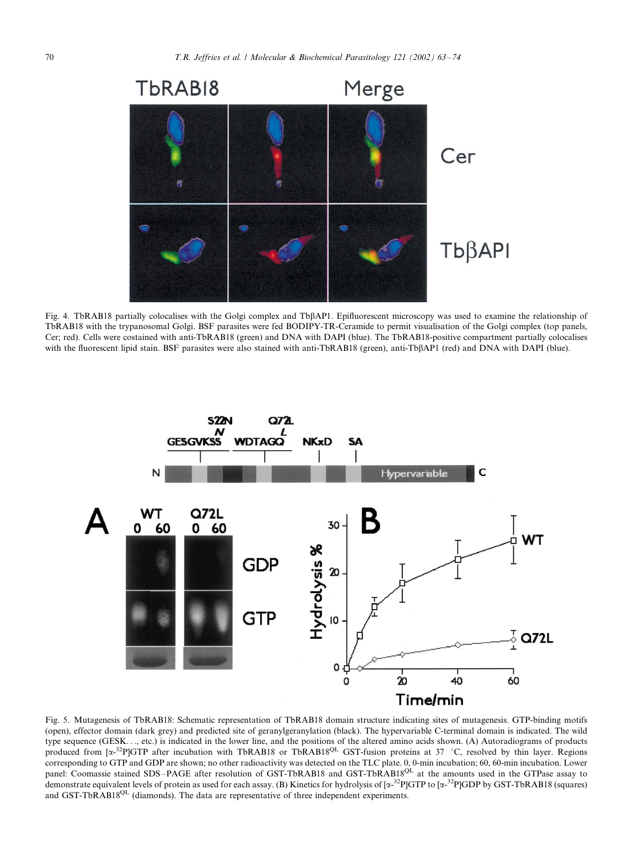

Fig. 4. TbRAB18 partially colocalises with the Golgi complex and TbßAP1. Epifluorescent microscopy was used to examine the relationship of TbRAB18 with the trypanosomal Golgi. BSF parasites were fed BODIPY-TR-Ceramide to permit visualisation of the Golgi complex (top panels, Cer; red). Cells were costained with anti-TbRAB18 (green) and DNA with DAPI (blue). The TbRAB18-positive compartment partially colocalises with the fluorescent lipid stain. BSF parasites were also stained with anti-TbRAB18 (green), anti-TbBAP1 (red) and DNA with DAPI (blue).



Fig. 5. Mutagenesis of TbRAB18: Schematic representation of TbRAB18 domain structure indicating sites of mutagenesis. GTP-binding motifs (open), effector domain (dark grey) and predicted site of geranylgeranylation (black). The hypervariable C-terminal domain is indicated. The wild type sequence (GESK..., etc.) is indicated in the lower line, and the positions of the altered amino acids shown. (A) Autoradiograms of products produced from  $[\alpha^{-32}P]GTP$  after incubation with TbRAB18 or TbRAB18<sup>QL</sup> GST-fusion proteins at 37 °C, resolved by thin layer. Regions corresponding to GTP and GDP are shown; no other radioactivity was detected on the TLC plate. 0, 0-min incubation; 60, 60-min incubation. Lower panel: Coomassie stained SDS-PAGE after resolution of GST-TbRAB18 and GST-TbRAB18<sup>QL</sup> at the amounts used in the GTPase assay to demonstrate equivalent levels of protein as used for each assay. (B) Kinetics for hydrolysis of  $\left[\alpha^{32}P\right]GTP$  to  $\left[\alpha^{32}P\right]GDP$  by GST-TbRAB18 (squares) and GST-TbRAB18<sup>QL</sup> (diamonds). The data are representative of three independent experiments.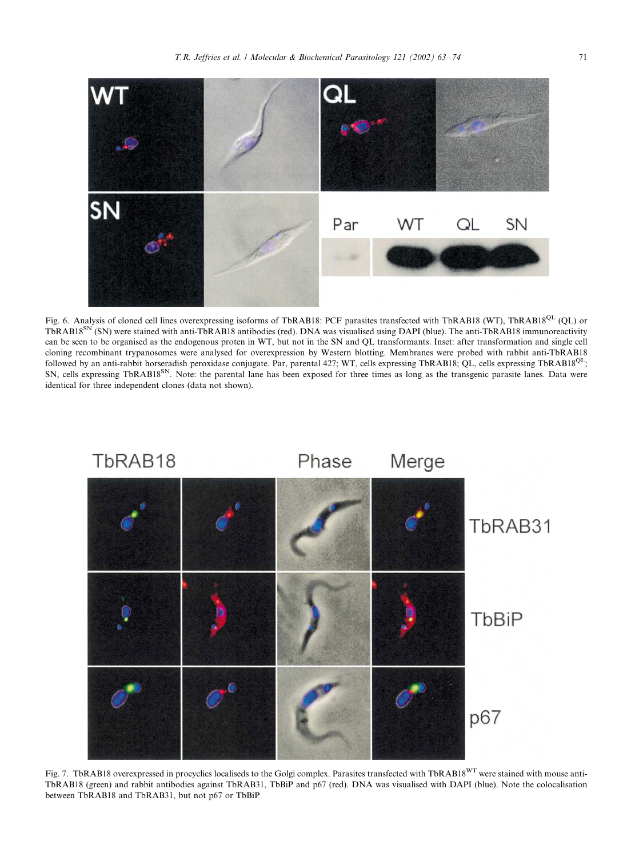

Fig. 6. Analysis of cloned cell lines overexpressing isoforms of TbRAB18: PCF parasites transfected with TbRAB18 (WT), TbRAB18<sup>QL</sup> (QL) or TbRAB18<sup>SN</sup> (SN) were stained with anti-TbRAB18 antibodies (red). DNA was visualised using DAPI (blue). The anti-TbRAB18 immunoreactivity can be seen to be organised as the endogenous proten in WT, but not in the SN and QL transformants. Inset: after transformation and single cell cloning recombinant trypanosomes were analysed for overexpression by Western blotting. Membranes were probed with rabbit anti-TbRAB18 followed by an anti-rabbit horseradish peroxidase conjugate. Par, parental 427; WT, cells expressing TbRAB18; QL, cells expressing TbRAB18<sup>QL</sup>; SN, cells expressing TbRAB18<sup>SN</sup>. Note: the parental lane has been exposed for three times as long as the transgenic parasite lanes. Data were identical for three independent clones (data not shown).



Fig. 7. TbRAB18 overexpressed in procyclics localiseds to the Golgi complex. Parasites transfected with TbRAB18<sup>WT</sup> were stained with mouse anti-TbRAB18 (green) and rabbit antibodies against TbRAB31, TbBiP and p67 (red). DNA was visualised with DAPI (blue). Note the colocalisation between TbRAB18 and TbRAB31, but not p67 or TbBiP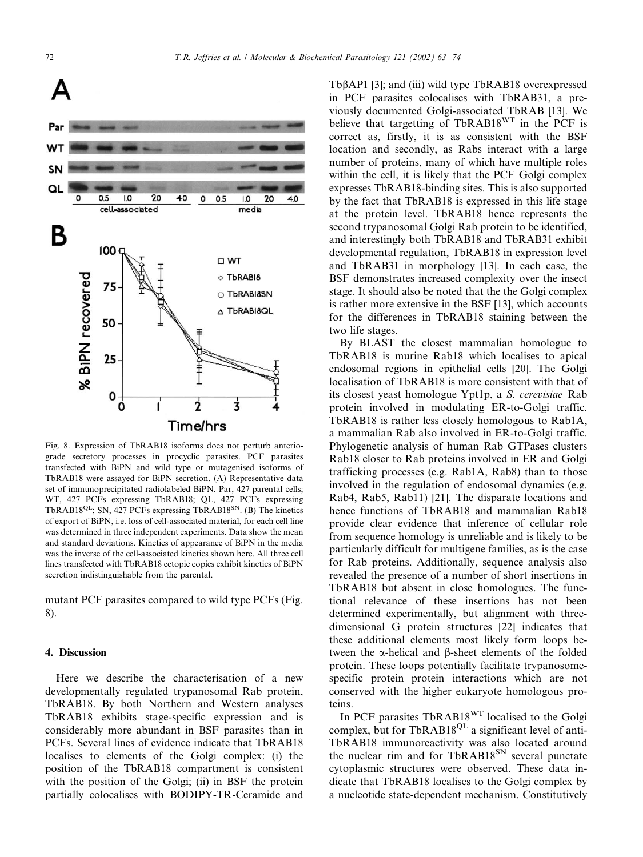

Fig. 8. Expression of TbRAB18 isoforms does not perturb anteriograde secretory processes in procyclic parasites. PCF parasites transfected with BiPN and wild type or mutagenised isoforms of TbRAB18 were assayed for BiPN secretion. (A) Representative data set of immunoprecipitated radiolabeled BiPN. Par, 427 parental cells; WT, 427 PCFs expressing TbRAB18; QL, 427 PCFs expressing TbRAB18<sup>QL</sup>; SN, 427 PCFs expressing TbRAB18<sup>SN</sup>. (B) The kinetics of export of BiPN, i.e. loss of cell-associated material, for each cell line was determined in three independent experiments. Data show the mean and standard deviations. Kinetics of appearance of BiPN in the media was the inverse of the cell-associated kinetics shown here. All three cell lines transfected with TbRAB18 ectopic copies exhibit kinetics of BiPN secretion indistinguishable from the parental.

mutant PCF parasites compared to wild type PCFs (Fig. 8).

#### 4. Discussion

Here we describe the characterisation of a new developmentally regulated trypanosomal Rab protein, TbRAB18. By both Northern and Western analyses TbRAB18 exhibits stage-specific expression and is considerably more abundant in BSF parasites than in PCFs. Several lines of evidence indicate that TbRAB18 localises to elements of the Golgi complex: (i) the position of the TbRAB18 compartment is consistent with the position of the Golgi; (ii) in BSF the protein partially colocalises with BODIPY-TR-Ceramide and

Tb $\beta$ AP1 [3]; and (iii) wild type TbRAB18 overexpressed in PCF parasites colocalises with TbRAB31, a previously documented Golgi-associated TbRAB [13]. We believe that targetting of TbRAB18<sup>WT</sup> in the PCF is correct as, firstly, it is as consistent with the BSF location and secondly, as Rabs interact with a large number of proteins, many of which have multiple roles within the cell, it is likely that the PCF Golgi complex expresses TbRAB18-binding sites. This is also supported by the fact that TbRAB18 is expressed in this life stage at the protein level. TbRAB18 hence represents the second trypanosomal Golgi Rab protein to be identified, and interestingly both TbRAB18 and TbRAB31 exhibit developmental regulation, TbRAB18 in expression level and TbRAB31 in morphology [13]. In each case, the BSF demonstrates increased complexity over the insect stage. It should also be noted that the the Golgi complex is rather more extensive in the BSF [13], which accounts for the differences in TbRAB18 staining between the two life stages.

By BLAST the closest mammalian homologue to TbRAB18 is murine Rab18 which localises to apical endosomal regions in epithelial cells [20]. The Golgi localisation of TbRAB18 is more consistent with that of its closest yeast homologue Ypt1p, a S. cerevisiae Rab protein involved in modulating ER-to-Golgi traffic. TbRAB18 is rather less closely homologous to Rab1A, a mammalian Rab also involved in ER-to-Golgi traffic. Phylogenetic analysis of human Rab GTPases clusters Rab18 closer to Rab proteins involved in ER and Golgi trafficking processes (e.g. Rab1A, Rab8) than to those involved in the regulation of endosomal dynamics (e.g. Rab4, Rab5, Rab11) [21]. The disparate locations and hence functions of TbRAB18 and mammalian Rab18 provide clear evidence that inference of cellular role from sequence homology is unreliable and is likely to be particularly difficult for multigene families, as is the case for Rab proteins. Additionally, sequence analysis also revealed the presence of a number of short insertions in TbRAB18 but absent in close homologues. The functional relevance of these insertions has not been determined experimentally, but alignment with threedimensional G protein structures [22] indicates that these additional elements most likely form loops between the  $\alpha$ -helical and  $\beta$ -sheet elements of the folded protein. These loops potentially facilitate trypanosomespecific protein–protein interactions which are not conserved with the higher eukaryote homologous proteins.

In PCF parasites TbRAB18WT localised to the Golgi complex, but for TbRAB18<sup>QL</sup> a significant level of anti-TbRAB18 immunoreactivity was also located around the nuclear rim and for TbRAB18<sup>SN</sup> several punctate cytoplasmic structures were observed. These data indicate that TbRAB18 localises to the Golgi complex by a nucleotide state-dependent mechanism. Constitutively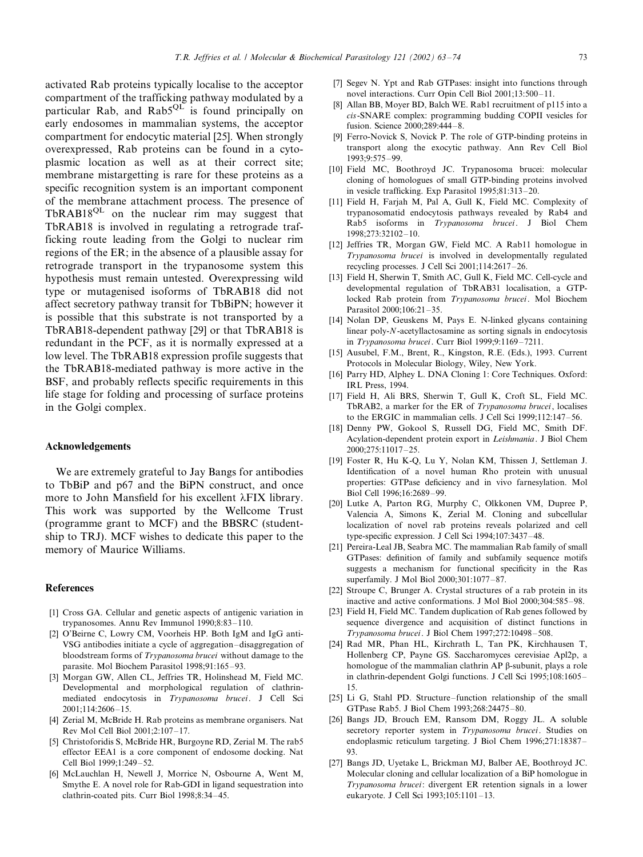activated Rab proteins typically localise to the acceptor compartment of the trafficking pathway modulated by a particular Rab, and Rab $5^{QL}$  is found principally on early endosomes in mammalian systems, the acceptor compartment for endocytic material [25]. When strongly overexpressed, Rab proteins can be found in a cytoplasmic location as well as at their correct site; membrane mistargetting is rare for these proteins as a specific recognition system is an important component of the membrane attachment process. The presence of  $TbRAB18^{QL}$  on the nuclear rim may suggest that TbRAB18 is involved in regulating a retrograde trafficking route leading from the Golgi to nuclear rim regions of the ER; in the absence of a plausible assay for retrograde transport in the trypanosome system this hypothesis must remain untested. Overexpressing wild type or mutagenised isoforms of TbRAB18 did not affect secretory pathway transit for TbBiPN; however it is possible that this substrate is not transported by a TbRAB18-dependent pathway [29] or that TbRAB18 is redundant in the PCF, as it is normally expressed at a low level. The TbRAB18 expression profile suggests that the TbRAB18-mediated pathway is more active in the BSF, and probably reflects specific requirements in this life stage for folding and processing of surface proteins in the Golgi complex.

#### Acknowledgements

We are extremely grateful to Jay Bangs for antibodies to TbBiP and p67 and the BiPN construct, and once more to John Mansfield for his excellent  $\lambda$ FIX library. This work was supported by the Wellcome Trust (programme grant to MCF) and the BBSRC (studentship to TRJ). MCF wishes to dedicate this paper to the memory of Maurice Williams.

#### References

- [1] Cross GA. Cellular and genetic aspects of antigenic variation in trypanosomes. Annu Rev Immunol 1990;8:83-110.
- [2] O'Beirne C, Lowry CM, Voorheis HP. Both IgM and IgG anti-VSG antibodies initiate a cycle of aggregation-disaggregation of bloodstream forms of Trypanosoma brucei without damage to the parasite. Mol Biochem Parasitol 1998;91:165-93.
- [3] Morgan GW, Allen CL, Jeffries TR, Holinshead M, Field MC. Developmental and morphological regulation of clathrinmediated endocytosis in Trypanosoma brucei. J Cell Sci 2001;114:2606-15.
- [4] Zerial M, McBride H. Rab proteins as membrane organisers. Nat Rev Mol Cell Biol 2001;2:107-/17.
- [5] Christoforidis S, McBride HR, Burgoyne RD, Zerial M. The rab5 effector EEA1 is a core component of endosome docking. Nat Cell Biol 1999;1:249-52.
- [6] McLauchlan H, Newell J, Morrice N, Osbourne A, Went M, Smythe E. A novel role for Rab-GDI in ligand sequestration into clathrin-coated pits. Curr Biol 1998;8:34-45.
- [7] Segev N. Ypt and Rab GTPases: insight into functions through novel interactions. Curr Opin Cell Biol 2001;13:500-11.
- [8] Allan BB, Moyer BD, Balch WE. Rab1 recruitment of p115 into a cis-SNARE complex: programming budding COPII vesicles for fusion. Science 2000;289:444-8.
- [9] Ferro-Novick S, Novick P. The role of GTP-binding proteins in transport along the exocytic pathway. Ann Rev Cell Biol 1993;9:575-99.
- [10] Field MC, Boothroyd JC. Trypanosoma brucei: molecular cloning of homologues of small GTP-binding proteins involved in vesicle trafficking. Exp Parasitol 1995;81:313-20.
- [11] Field H, Farjah M, Pal A, Gull K, Field MC. Complexity of trypanosomatid endocytosis pathways revealed by Rab4 and Rab5 isoforms in Trypanosoma brucei. J Biol Chem 1998;273:32102-10.
- [12] Jeffries TR, Morgan GW, Field MC. A Rab11 homologue in Trypanosoma brucei is involved in developmentally regulated recycling processes. J Cell Sci 2001;114:2617 -/26.
- [13] Field H, Sherwin T, Smith AC, Gull K, Field MC. Cell-cycle and developmental regulation of TbRAB31 localisation, a GTPlocked Rab protein from Trypanosoma brucei. Mol Biochem Parasitol 2000;106:21-35.
- [14] Nolan DP, Geuskens M, Pays E. N-linked glycans containing linear poly-N-acetyllactosamine as sorting signals in endocytosis in Trypanosoma brucei. Curr Biol 1999;9:1169-7211.
- [15] Ausubel, F.M., Brent, R., Kingston, R.E. (Eds.), 1993. Current Protocols in Molecular Biology, Wiley, New York.
- [16] Parry HD, Alphey L. DNA Cloning 1: Core Techniques. Oxford: IRL Press, 1994.
- [17] Field H, Ali BRS, Sherwin T, Gull K, Croft SL, Field MC. TbRAB2, a marker for the ER of Trypanosoma brucei, localises to the ERGIC in mammalian cells. J Cell Sci 1999;112:147-56.
- [18] Denny PW, Gokool S, Russell DG, Field MC, Smith DF. Acylation-dependent protein export in Leishmania. J Biol Chem 2000;275:11017-/25.
- [19] Foster R, Hu K-Q, Lu Y, Nolan KM, Thissen J, Settleman J. Identification of a novel human Rho protein with unusual properties: GTPase deficiency and in vivo farnesylation. Mol Biol Cell 1996;16:2689-99.
- [20] Lutke A, Parton RG, Murphy C, Olkkonen VM, Dupree P, Valencia A, Simons K, Zerial M. Cloning and subcellular localization of novel rab proteins reveals polarized and cell type-specific expression. J Cell Sci 1994;107:3437-48.
- [21] Pereira-Leal JB, Seabra MC. The mammalian Rab family of small GTPases: definition of family and subfamily sequence motifs suggests a mechanism for functional specificity in the Ras superfamily. J Mol Biol 2000;301:1077-87.
- [22] Stroupe C, Brunger A. Crystal structures of a rab protein in its inactive and active conformations. J Mol Biol 2000;304:585-98.
- [23] Field H, Field MC. Tandem duplication of Rab genes followed by sequence divergence and acquisition of distinct functions in Trypanosoma brucei. J Biol Chem 1997;272:10498-508.
- [24] Rad MR, Phan HL, Kirchrath L, Tan PK, Kirchhausen T, Hollenberg CP, Payne GS. Saccharomyces cerevisiae Apl2p, a homologue of the mammalian clathrin AP B-subunit, plays a role in clathrin-dependent Golgi functions. J Cell Sci 1995;108:1605-/ 15.
- [25] Li G, Stahl PD. Structure–function relationship of the small GTPase Rab5. J Biol Chem 1993;268:24475-80.
- [26] Bangs JD, Brouch EM, Ransom DM, Roggy JL. A soluble secretory reporter system in Trypanosoma brucei. Studies on endoplasmic reticulum targeting. J Biol Chem 1996;271:18387-93.
- [27] Bangs JD, Uyetake L, Brickman MJ, Balber AE, Boothroyd JC. Molecular cloning and cellular localization of a BiP homologue in Trypanosoma brucei: divergent ER retention signals in a lower eukaryote. J Cell Sci 1993;105:1101-13.